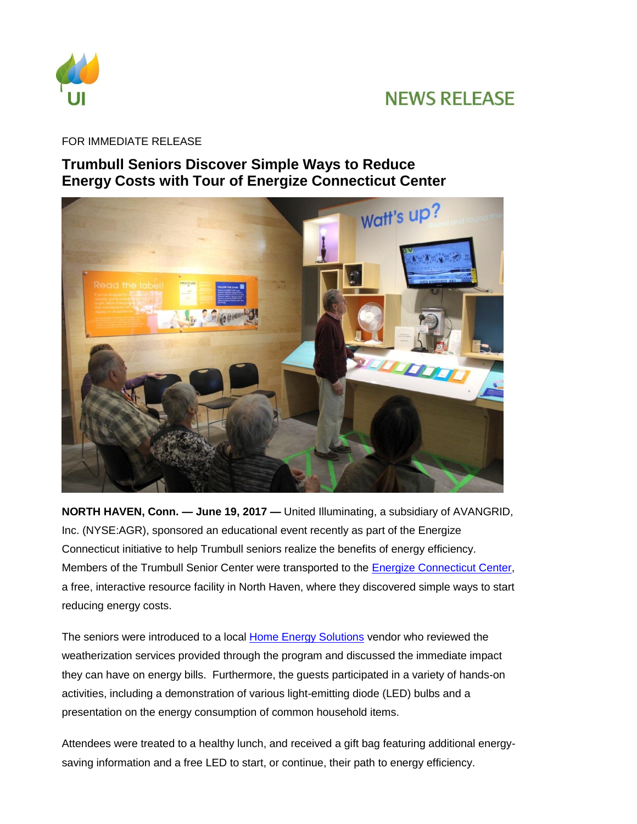

## **NEWS RELEASE**

FOR IMMEDIATE RELEASE

## **Trumbull Seniors Discover Simple Ways to Reduce Energy Costs with Tour of Energize Connecticut Center**



**NORTH HAVEN, Conn. — June 19, 2017 —** United Illuminating, a subsidiary of AVANGRID, Inc. (NYSE:AGR), sponsored an educational event recently as part of the Energize Connecticut initiative to help Trumbull seniors realize the benefits of energy efficiency. Members of the Trumbull Senior Center were transported to the [Energize Connecticut Center,](http://www.energizect.com/your-town/solutions-list/center) a free, interactive resource facility in North Haven, where they discovered simple ways to start reducing energy costs.

The seniors were introduced to a local [Home Energy Solutions](http://www.energizect.com/your-home/solutions-list/home-energy-solutions-core-services) vendor who reviewed the weatherization services provided through the program and discussed the immediate impact they can have on energy bills. Furthermore, the guests participated in a variety of hands-on activities, including a demonstration of various light-emitting diode (LED) bulbs and a presentation on the energy consumption of common household items.

Attendees were treated to a healthy lunch, and received a gift bag featuring additional energysaving information and a free LED to start, or continue, their path to energy efficiency.